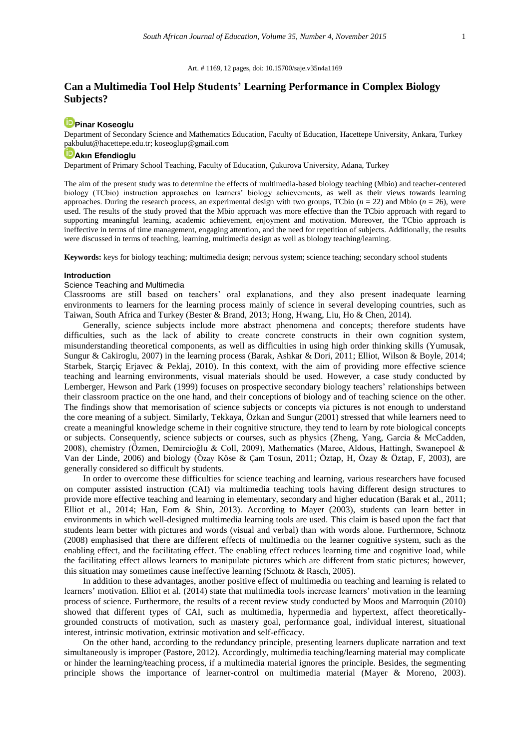#### Art. # 1169, 12 pages, doi: 10.15700/saje.v35n4a1169

# **Can a Multimedia Tool Help Students' Learning Performance in Complex Biology Subjects?**

# **[Pinar Koseoglu](http://orcid.org/0000-0002-6222-7978)**

Department of Secondary Science and Mathematics Education, Faculty of Education, Hacettepe University, Ankara, Turkey [pakbulut@hacettepe.edu.tr;](mailto:pakbulut@hacettepe.edu.tr) koseoglup@gmail.com

### **[Akın Efendioglu](http://orcid.org/0000-0001-6756-7405)**

Department of Primary School Teaching, Faculty of Education, Çukurova University, Adana, Turkey

The aim of the present study was to determine the effects of multimedia-based biology teaching (Mbio) and teacher-centered biology (TCbio) instruction approaches on learners' biology achievements, as well as their views towards learning approaches. During the research process, an experimental design with two groups, TCbio  $(n = 22)$  and Mbio  $(n = 26)$ , were used. The results of the study proved that the Mbio approach was more effective than the TCbio approach with regard to supporting meaningful learning, academic achievement, enjoyment and motivation. Moreover, the TCbio approach is ineffective in terms of time management, engaging attention, and the need for repetition of subjects. Additionally, the results were discussed in terms of teaching, learning, multimedia design as well as biology teaching/learning.

**Keywords:** keys for biology teaching; multimedia design; nervous system; science teaching; secondary school students

#### **Introduction**

### Science Teaching and Multimedia

Classrooms are still based on teachers' oral explanations, and they also present inadequate learning environments to learners for the learning process mainly of science in several developing countries, such as Taiwan, South Africa and Turkey (Bester & Brand, 2013; Hong, Hwang, Liu, Ho & Chen, 2014).

Generally, science subjects include more abstract phenomena and concepts; therefore students have difficulties, such as the lack of ability to create concrete constructs in their own cognition system, misunderstanding theoretical components, as well as difficulties in using high order thinking skills (Yumusak, Sungur & Cakiroglu, 2007) in the learning process (Barak, Ashkar & Dori, 2011; Elliot, Wilson & Boyle, 2014; Starbek, Starcic Eriavec & Peklaj, 2010). In this context, with the aim of providing more effective science teaching and learning environments, visual materials should be used. However, a case study conducted by Lemberger, Hewson and Park (1999) focuses on prospective secondary biology teachers' relationships between their classroom practice on the one hand, and their conceptions of biology and of teaching science on the other. The findings show that memorisation of science subjects or concepts via pictures is not enough to understand the core meaning of a subject. Similarly, Tekkaya, Özkan and Sungur (2001) stressed that while learners need to create a meaningful knowledge scheme in their cognitive structure, they tend to learn by rote biological concepts or subjects. Consequently, science subjects or courses, such as physics (Zheng, Yang, Garcia & McCadden, 2008), chemistry (Özmen, Demircioğlu & Coll, 2009), Mathematics (Maree, Aldous, Hattingh, Swanepoel & Van der Linde, 2006) and biology (Özay Köse & Çam Tosun, 2011; Öztap, H, Özay & Öztap, F, 2003), are generally considered so difficult by students.

In order to overcome these difficulties for science teaching and learning, various researchers have focused on computer assisted instruction (CAI) via multimedia teaching tools having different design structures to provide more effective teaching and learning in elementary, secondary and higher education (Barak et al., 2011; Elliot et al., 2014; Han, Eom & Shin, 2013). According to Mayer (2003), students can learn better in environments in which well-designed multimedia learning tools are used. This claim is based upon the fact that students learn better with pictures and words (visual and verbal) than with words alone. Furthermore, Schnotz (2008) emphasised that there are different effects of multimedia on the learner cognitive system, such as the enabling effect, and the facilitating effect. The enabling effect reduces learning time and cognitive load, while the facilitating effect allows learners to manipulate pictures which are different from static pictures; however, this situation may sometimes cause ineffective learning (Schnotz & Rasch, 2005).

In addition to these advantages, another positive effect of multimedia on teaching and learning is related to learners' motivation. Elliot et al. (2014) state that multimedia tools increase learners' motivation in the learning process of science. Furthermore, the results of a recent review study conducted by Moos and Marroquin (2010) showed that different types of CAI, such as multimedia, hypermedia and hypertext, affect theoreticallygrounded constructs of motivation, such as mastery goal, performance goal, individual interest, situational interest, intrinsic motivation, extrinsic motivation and self-efficacy.

On the other hand, according to the redundancy principle, presenting learners duplicate narration and text simultaneously is improper (Pastore, 2012). Accordingly, multimedia teaching/learning material may complicate or hinder the learning/teaching process, if a multimedia material ignores the principle. Besides, the segmenting principle shows the importance of learner-control on multimedia material (Mayer & Moreno, 2003).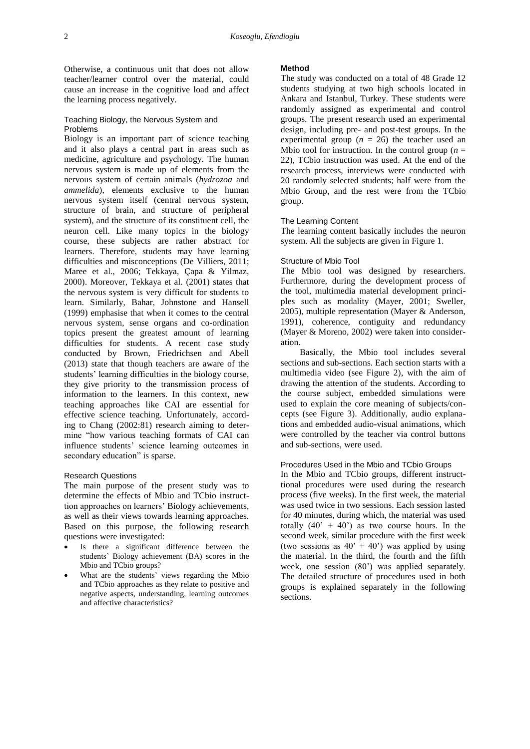Otherwise, a continuous unit that does not allow teacher/learner control over the material, could cause an increase in the cognitive load and affect the learning process negatively.

### Teaching Biology, the Nervous System and Problems

Biology is an important part of science teaching and it also plays a central part in areas such as medicine, agriculture and psychology. The human nervous system is made up of elements from the nervous system of certain animals (*hydrozoa* and *ammelida*), elements exclusive to the human nervous system itself (central nervous system, structure of brain, and structure of peripheral system), and the structure of its constituent cell, the neuron cell. Like many topics in the biology course, these subjects are rather abstract for learners. Therefore, students may have learning difficulties and misconceptions (De Villiers, 2011; Maree et al., 2006; Tekkaya, Çapa & Yilmaz, 2000). Moreover, Tekkaya et al. (2001) states that the nervous system is very difficult for students to learn. Similarly, Bahar, Johnstone and Hansell (1999) emphasise that when it comes to the central nervous system, sense organs and co-ordination topics present the greatest amount of learning difficulties for students. A recent case study conducted by Brown, Friedrichsen and Abell (2013) state that though teachers are aware of the students' learning difficulties in the biology course, they give priority to the transmission process of information to the learners. In this context, new teaching approaches like CAI are essential for effective science teaching. Unfortunately, according to Chang (2002:81) research aiming to determine "how various teaching formats of CAI can influence students' science learning outcomes in secondary education" is sparse.

### Research Questions

The main purpose of the present study was to determine the effects of Mbio and TCbio instructtion approaches on learners' Biology achievements, as well as their views towards learning approaches. Based on this purpose, the following research questions were investigated:

- Is there a significant difference between the students' Biology achievement (BA) scores in the Mbio and TCbio groups?
- What are the students' views regarding the Mbio and TCbio approaches as they relate to positive and negative aspects, understanding, learning outcomes and affective characteristics?

# **Method**

The study was conducted on a total of 48 Grade 12 students studying at two high schools located in Ankara and Istanbul, Turkey. These students were randomly assigned as experimental and control groups. The present research used an experimental design, including pre- and post-test groups. In the experimental group  $(n = 26)$  the teacher used an Mbio tool for instruction. In the control group  $(n =$ 22), TCbio instruction was used. At the end of the research process, interviews were conducted with 20 randomly selected students; half were from the Mbio Group, and the rest were from the TCbio group.

# The Learning Content

The learning content basically includes the neuron system. All the subjects are given in Figure 1.

### Structure of Mbio Tool

The Mbio tool was designed by researchers. Furthermore, during the development process of the tool, multimedia material development principles such as modality (Mayer, 2001; Sweller, 2005), multiple representation (Mayer & Anderson, 1991), coherence, contiguity and redundancy (Mayer & Moreno, 2002) were taken into consideration.

Basically, the Mbio tool includes several sections and sub-sections. Each section starts with a multimedia video (see Figure 2), with the aim of drawing the attention of the students. According to the course subject, embedded simulations were used to explain the core meaning of subjects/concepts (see Figure 3). Additionally, audio explanations and embedded audio-visual animations, which were controlled by the teacher via control buttons and sub-sections, were used.

### Procedures Used in the Mbio and TCbio Groups

In the Mbio and TCbio groups, different instructtional procedures were used during the research process (five weeks). In the first week, the material was used twice in two sessions. Each session lasted for 40 minutes, during which, the material was used totally  $(40' + 40')$  as two course hours. In the second week, similar procedure with the first week (two sessions as  $40' + 40'$ ) was applied by using the material. In the third, the fourth and the fifth week, one session (80') was applied separately. The detailed structure of procedures used in both groups is explained separately in the following sections.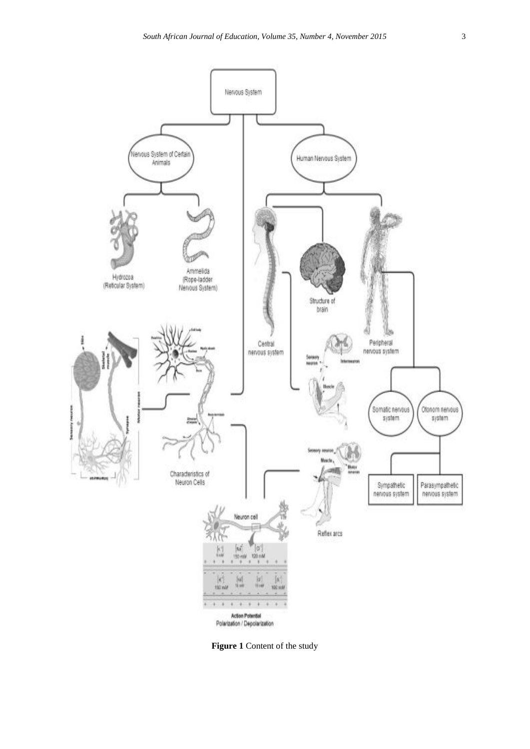

**Figure 1** Content of the study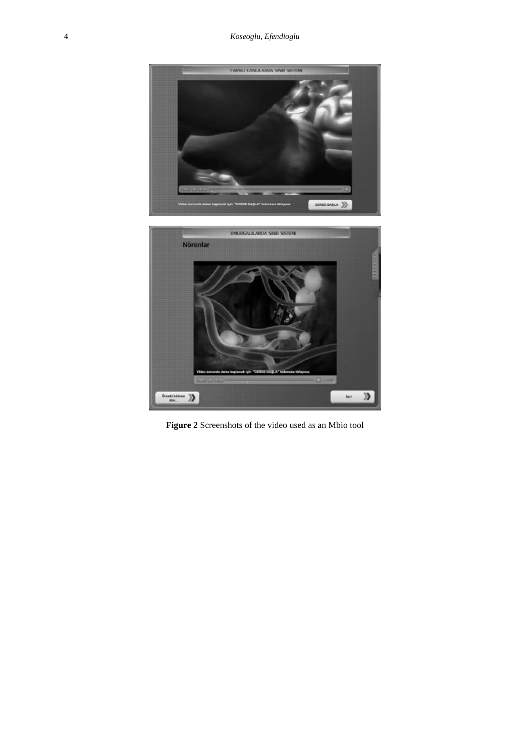

**Figure 2** Screenshots of the video used as an Mbio tool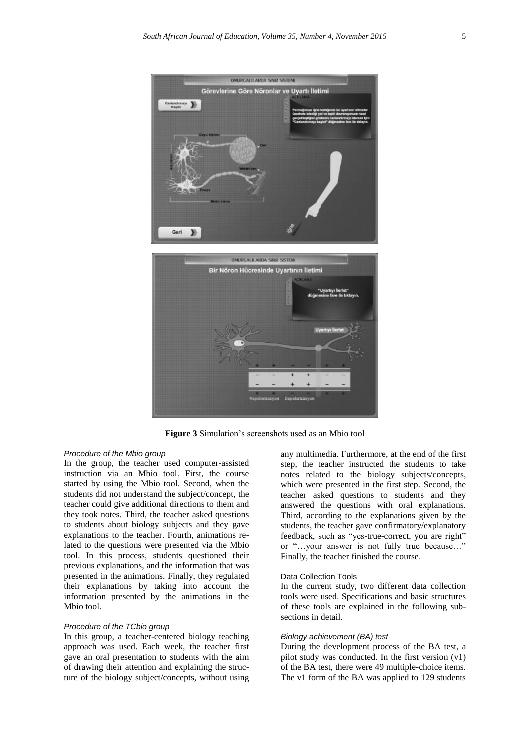



**Figure 3** Simulation's screenshots used as an Mbio tool

### *Procedure of the Mbio group*

In the group, the teacher used computer-assisted instruction via an Mbio tool. First, the course started by using the Mbio tool. Second, when the students did not understand the subject/concept, the teacher could give additional directions to them and they took notes. Third, the teacher asked questions to students about biology subjects and they gave explanations to the teacher. Fourth, animations related to the questions were presented via the Mbio tool. In this process, students questioned their previous explanations, and the information that was presented in the animations. Finally, they regulated their explanations by taking into account the information presented by the animations in the Mbio tool.

### *Procedure of the TCbio group*

In this group, a teacher-centered biology teaching approach was used. Each week, the teacher first gave an oral presentation to students with the aim of drawing their attention and explaining the structure of the biology subject/concepts, without using any multimedia. Furthermore, at the end of the first step, the teacher instructed the students to take notes related to the biology subjects/concepts, which were presented in the first step. Second, the teacher asked questions to students and they answered the questions with oral explanations. Third, according to the explanations given by the students, the teacher gave confirmatory/explanatory feedback, such as "yes-true-correct, you are right" or "…your answer is not fully true because…" Finally, the teacher finished the course.

#### Data Collection Tools

In the current study, two different data collection tools were used. Specifications and basic structures of these tools are explained in the following subsections in detail.

# *Biology achievement (BA) test*

During the development process of the BA test, a pilot study was conducted. In the first version (v1) of the BA test, there were 49 multiple-choice items. The v1 form of the BA was applied to 129 students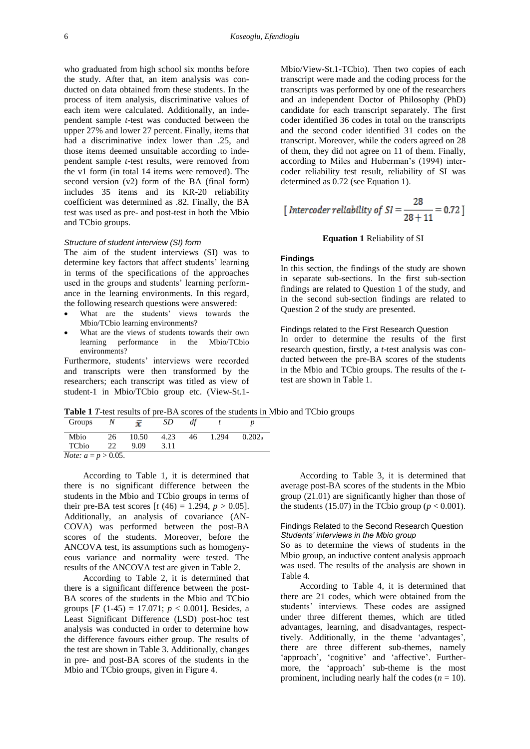who graduated from high school six months before the study. After that, an item analysis was conducted on data obtained from these students. In the process of item analysis, discriminative values of each item were calculated. Additionally, an independent sample *t*-test was conducted between the upper 27% and lower 27 percent. Finally, items that had a discriminative index lower than .25, and those items deemed unsuitable according to independent sample *t*-test results, were removed from the v1 form (in total 14 items were removed). The second version (v2) form of the BA (final form) includes 35 items and its KR-20 reliability coefficient was determined as .82. Finally, the BA test was used as pre- and post-test in both the Mbio and TCbio groups.

### *Structure of student interview (SI) form*

The aim of the student interviews (SI) was to determine key factors that affect students' learning in terms of the specifications of the approaches used in the groups and students' learning performance in the learning environments. In this regard, the following research questions were answered:

- What are the students' views towards the Mbio/TCbio learning environments?
- What are the views of students towards their own learning performance in the Mbio/TCbio environments?

Furthermore, students' interviews were recorded and transcripts were then transformed by the researchers; each transcript was titled as view of student-1 in Mbio/TCbio group etc. (View-St.1Mbio/View-St.1-TCbio). Then two copies of each transcript were made and the coding process for the transcripts was performed by one of the researchers and an independent Doctor of Philosophy (PhD) candidate for each transcript separately. The first coder identified 36 codes in total on the transcripts and the second coder identified 31 codes on the transcript. Moreover, while the coders agreed on 28 of them, they did not agree on 11 of them. Finally, according to Miles and Huberman's (1994) intercoder reliability test result, reliability of SI was determined as 0.72 (see Equation 1).

[Intercoder reliability of SI = 
$$
\frac{28}{28 + 11}
$$
 = 0.72]

### **Equation 1** Reliability of SI

#### **Findings**

In this section, the findings of the study are shown in separate sub-sections. In the first sub-section findings are related to Question 1 of the study, and in the second sub-section findings are related to Question 2 of the study are presented.

Findings related to the First Research Question In order to determine the results of the first research question, firstly, a *t*-test analysis was conducted between the pre-BA scores of the students in the Mbio and TCbio groups. The results of the *t*test are shown in Table 1.

**Table 1** *T*-test results of pre-BA scores of the students in Mbio and TCbio groups

| Groups                        |    |       | SD.  | df |       |           |
|-------------------------------|----|-------|------|----|-------|-----------|
| Mbio                          | 26 | 10.50 | 4.23 | 46 | 1.294 | $0.202_a$ |
| TCbio                         | 22 | 9.09  | 3.11 |    |       |           |
| <i>Note:</i> $a = p > 0.05$ . |    |       |      |    |       |           |

According to Table 1, it is determined that there is no significant difference between the students in the Mbio and TCbio groups in terms of their pre-BA test scores  $[t (46) = 1.294, p > 0.05]$ . Additionally, an analysis of covariance (AN-COVA) was performed between the post-BA scores of the students. Moreover, before the ANCOVA test, its assumptions such as homogenyeous variance and normality were tested. The results of the ANCOVA test are given in Table 2.

According to Table 2, it is determined that there is a significant difference between the post-BA scores of the students in the Mbio and TCbio groups  $[F (1-45) = 17.071$ ;  $p < 0.001$ ]. Besides, a Least Significant Difference (LSD) post-hoc test analysis was conducted in order to determine how the difference favours either group. The results of the test are shown in Table 3. Additionally, changes in pre- and post-BA scores of the students in the Mbio and TCbio groups, given in Figure 4.

According to Table 3, it is determined that average post-BA scores of the students in the Mbio group (21.01) are significantly higher than those of the students (15.07) in the TCbio group ( $p < 0.001$ ).

### Findings Related to the Second Research Question *Students' interviews in the Mbio group*

So as to determine the views of students in the Mbio group, an inductive content analysis approach was used. The results of the analysis are shown in Table 4.

According to Table 4, it is determined that there are 21 codes, which were obtained from the students' interviews. These codes are assigned under three different themes, which are titled advantages, learning, and disadvantages, respecttively. Additionally, in the theme 'advantages', there are three different sub-themes, namely 'approach', 'cognitive' and 'affective'. Furthermore, the 'approach' sub-theme is the most prominent, including nearly half the codes  $(n = 10)$ .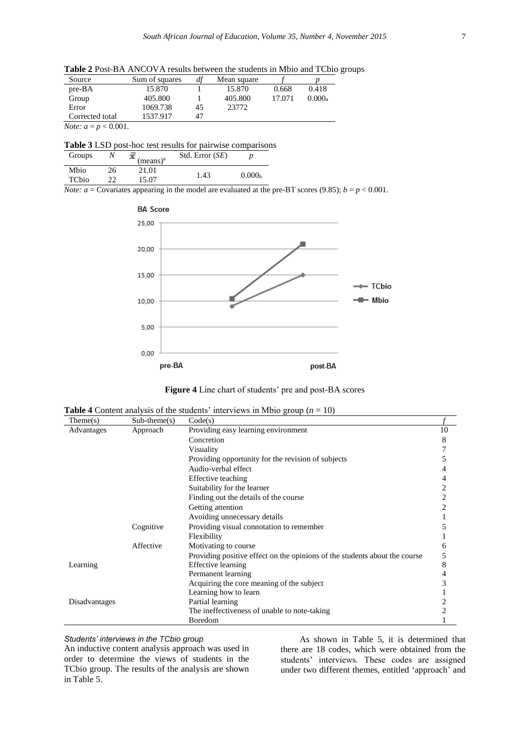**Table 2** Post-BA ANCOVA results between the students in Mbio and TCbio groups

| Source                         | Sum of squares | df | Mean square |        |        |
|--------------------------------|----------------|----|-------------|--------|--------|
| $pre-BA$                       | 15.870         |    | 15.870      | 0.668  | 0.418  |
| Group                          | 405.800        |    | 405.800     | 17.071 | 0.000a |
| Error                          | 1069.738       | 45 | 23772       |        |        |
| Corrected total                | 1537.917       |    |             |        |        |
| <i>Note:</i> $a = p < 0.001$ . |                |    |             |        |        |

| Table 3 LSD post-hoc test results for pairwise comparisons |
|------------------------------------------------------------|
|------------------------------------------------------------|

| Groups |    | (means) <sup>a</sup> | Std. Error (SE) |                    |
|--------|----|----------------------|-----------------|--------------------|
| Mbio   | 26 | 21.01                | 1.43            | 0.000 <sub>b</sub> |
| TCbio  |    | 15.07                |                 |                    |

*Note:*  $a =$  Covariates appearing in the model are evaluated at the pre-BT scores (9.85);  $b = p < 0.001$ .





| <b>Table 4</b> Content analysis of the students' interviews in Mbio group ( $n = 10$ ) |  |  |  |  |  |  |
|----------------------------------------------------------------------------------------|--|--|--|--|--|--|
|----------------------------------------------------------------------------------------|--|--|--|--|--|--|

| Then (s)      | $Sub-theme(s)$ | Code(s)                                                                    |                |
|---------------|----------------|----------------------------------------------------------------------------|----------------|
| Advantages    | Approach       | Providing easy learning environment                                        | 10             |
|               |                | Concretion                                                                 | 8              |
|               |                | Visuality                                                                  |                |
|               |                | Providing opportunity for the revision of subjects                         | 5              |
|               |                | Audio-verbal effect                                                        |                |
|               |                | Effective teaching                                                         | 4              |
|               |                | Suitability for the learner                                                | 2              |
|               |                | Finding out the details of the course                                      | $\overline{c}$ |
|               |                | Getting attention                                                          | 2              |
|               |                | Avoiding unnecessary details                                               |                |
|               | Cognitive      | Providing visual connotation to remember                                   | 5              |
|               |                | Flexibility                                                                |                |
|               | Affective      | Motivating to course                                                       | 6              |
|               |                | Providing positive effect on the opinions of the students about the course | 5              |
| Learning      |                | Effective learning                                                         | 8              |
|               |                | Permanent learning                                                         | 4              |
|               |                | Acquiring the core meaning of the subject                                  | 3              |
|               |                | Learning how to learn                                                      |                |
| Disadvantages |                | Partial learning                                                           | 2              |
|               |                | The ineffectiveness of unable to note-taking                               | 2              |
|               |                | Boredom                                                                    |                |

# *Students' interviews in the TCbio group*

An inductive content analysis approach was used in order to determine the views of students in the TCbio group. The results of the analysis are shown in Table 5.

As shown in Table 5, it is determined that there are 18 codes, which were obtained from the students' interviews. These codes are assigned under two different themes, entitled 'approach' and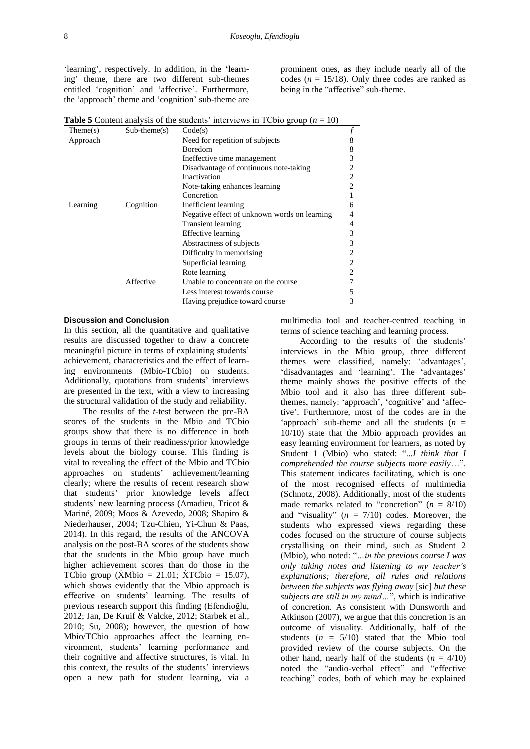'learning', respectively. In addition, in the 'learning' theme, there are two different sub-themes entitled 'cognition' and 'affective'. Furthermore, the 'approach' theme and 'cognition' sub-theme are

prominent ones, as they include nearly all of the codes ( $n = 15/18$ ). Only three codes are ranked as being in the "affective" sub-theme.

| Then (s) | $Sub-theme(s)$ | Code(s)                                      |   |
|----------|----------------|----------------------------------------------|---|
| Approach |                | Need for repetition of subjects              | 8 |
|          |                | <b>Boredom</b>                               | 8 |
|          |                | Ineffective time management                  | 3 |
|          |                | Disadvantage of continuous note-taking       |   |
|          |                | Inactivation                                 |   |
|          |                | Note-taking enhances learning                |   |
|          |                | Concretion                                   |   |
| Learning | Cognition      | Inefficient learning                         | 6 |
|          |                | Negative effect of unknown words on learning |   |
|          |                | <b>Transient learning</b>                    | 4 |
|          |                | Effective learning                           | 3 |
|          |                | Abstractness of subjects                     |   |
|          |                | Difficulty in memorising                     |   |
|          |                | Superficial learning                         |   |
|          |                | Rote learning                                |   |
|          | Affective      | Unable to concentrate on the course          |   |
|          |                | Less interest towards course                 | 5 |
|          |                | Having prejudice toward course               | 3 |

**Table 5** Content analysis of the students' interviews in TCbio group ( $n = 10$ )

#### **Discussion and Conclusion**

In this section, all the quantitative and qualitative results are discussed together to draw a concrete meaningful picture in terms of explaining students' achievement, characteristics and the effect of learning environments (Mbio-TCbio) on students. Additionally, quotations from students' interviews are presented in the text, with a view to increasing the structural validation of the study and reliability.

The results of the *t*-test between the pre-BA scores of the students in the Mbio and TCbio groups show that there is no difference in both groups in terms of their readiness/prior knowledge levels about the biology course. This finding is vital to revealing the effect of the Mbio and TCbio approaches on students' achievement/learning clearly; where the results of recent research show that students' prior knowledge levels affect students' new learning process (Amadieu, Tricot & Mariné, 2009; Moos & Azevedo, 2008; Shapiro & Niederhauser, 2004; Tzu-Chien, Yi-Chun & Paas, 2014). In this regard, the results of the ANCOVA analysis on the post-BA scores of the students show that the students in the Mbio group have much higher achievement scores than do those in the TCbio group ( $\dot{X}M$ bio = 21.01;  $\dot{X}T$ Cbio = 15.07), which shows evidently that the Mbio approach is effective on students' learning. The results of previous research support this finding (Efendioğlu, 2012; Jan, De Kruif & Valcke, 2012; Starbek et al., 2010; Su, 2008); however, the question of how Mbio/TCbio approaches affect the learning environment, students' learning performance and their cognitive and affective structures, is vital. In this context, the results of the students' interviews open a new path for student learning, via a multimedia tool and teacher-centred teaching in terms of science teaching and learning process.

According to the results of the students' interviews in the Mbio group, three different themes were classified, namely: 'advantages', 'disadvantages and 'learning'. The 'advantages' theme mainly shows the positive effects of the Mbio tool and it also has three different subthemes, namely: 'approach', 'cognitive' and 'affective'. Furthermore, most of the codes are in the 'approach' sub-theme and all the students  $(n =$ 10/10) state that the Mbio approach provides an easy learning environment for learners, as noted by Student 1 (Mbio) who stated: "...*I think that I comprehended the course subjects more easily*…". This statement indicates facilitating, which is one of the most recognised effects of multimedia (Schnotz, 2008). Additionally, most of the students made remarks related to "concretion"  $(n = 8/10)$ and "visuality" (*n* = 7/10) codes. Moreover, the students who expressed views regarding these codes focused on the structure of course subjects crystallising on their mind, such as Student 2 (Mbio), who noted: "*…in the previous course I was only taking notes and listening to my teacher's explanations; therefore, all rules and relations between the subjects was flying away* [sic] *but these subjects are still in my mind…*", which is indicative of concretion. As consistent with Dunsworth and Atkinson (2007), we argue that this concretion is an outcome of visuality. Additionally, half of the students  $(n = 5/10)$  stated that the Mbio tool provided review of the course subjects. On the other hand, nearly half of the students  $(n = 4/10)$ noted the "audio-verbal effect" and "effective teaching" codes, both of which may be explained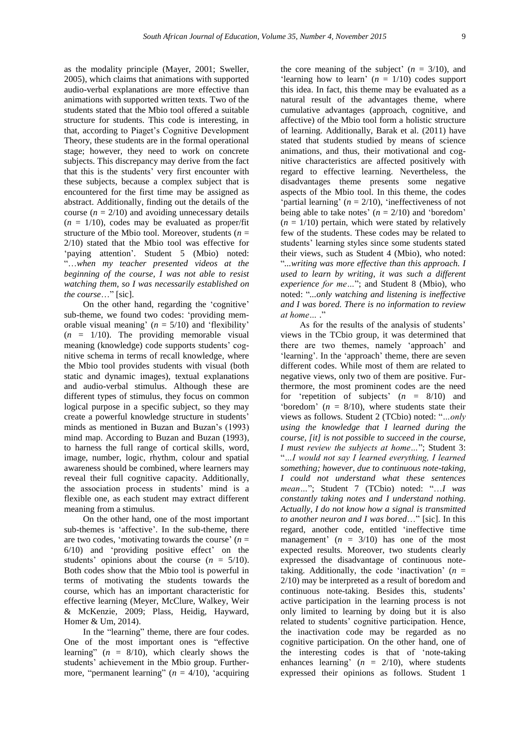as the modality principle (Mayer, 2001; Sweller, 2005), which claims that animations with supported audio-verbal explanations are more effective than animations with supported written texts. Two of the students stated that the Mbio tool offered a suitable structure for students. This code is interesting, in that, according to Piaget's Cognitive Development Theory, these students are in the formal operational stage; however, they need to work on concrete subjects. This discrepancy may derive from the fact that this is the students' very first encounter with these subjects, because a complex subject that is encountered for the first time may be assigned as abstract. Additionally, finding out the details of the course  $(n = 2/10)$  and avoiding unnecessary details  $(n = 1/10)$ , codes may be evaluated as proper/fit structure of the Mbio tool. Moreover, students ( $n =$ 2/10) stated that the Mbio tool was effective for 'paying attention'. Student 5 (Mbio) noted: "…*when my teacher presented videos at the beginning of the course, I was not able to resist watching them, so I was necessarily established on the course*…" [sic].

On the other hand, regarding the 'cognitive' sub-theme, we found two codes: 'providing memorable visual meaning'  $(n = 5/10)$  and 'flexibility'  $(n = 1/10)$ . The providing memorable visual meaning (knowledge) code supports students' cognitive schema in terms of recall knowledge, where the Mbio tool provides students with visual (both static and dynamic images), textual explanations and audio-verbal stimulus. Although these are different types of stimulus, they focus on common logical purpose in a specific subject, so they may create a powerful knowledge structure in students' minds as mentioned in Buzan and Buzan's (1993) mind map. According to Buzan and Buzan (1993), to harness the full range of cortical skills, word, image, number, logic, rhythm, colour and spatial awareness should be combined, where learners may reveal their full cognitive capacity. Additionally, the association process in students' mind is a flexible one, as each student may extract different meaning from a stimulus.

On the other hand, one of the most important sub-themes is 'affective'. In the sub-theme, there are two codes, 'motivating towards the course'  $(n =$ 6/10) and 'providing positive effect' on the students' opinions about the course  $(n = 5/10)$ . Both codes show that the Mbio tool is powerful in terms of motivating the students towards the course, which has an important characteristic for effective learning (Meyer, McClure, Walkey, Weir & McKenzie, 2009; Plass, Heidig, Hayward, Homer & Um, 2014).

In the "learning" theme, there are four codes. One of the most important ones is "effective learning"  $(n = 8/10)$ , which clearly shows the students' achievement in the Mbio group. Furthermore, "permanent learning"  $(n = 4/10)$ , 'acquiring

the core meaning of the subject'  $(n = 3/10)$ , and 'learning how to learn'  $(n = 1/10)$  codes support this idea. In fact, this theme may be evaluated as a natural result of the advantages theme, where cumulative advantages (approach, cognitive, and affective) of the Mbio tool form a holistic structure of learning. Additionally, Barak et al. (2011) have stated that students studied by means of science animations, and thus, their motivational and cognitive characteristics are affected positively with regard to effective learning. Nevertheless, the disadvantages theme presents some negative aspects of the Mbio tool. In this theme, the codes 'partial learning'  $(n = 2/10)$ , 'ineffectiveness of not being able to take notes'  $(n = 2/10)$  and 'boredom'  $(n = 1/10)$  pertain, which were stated by relatively few of the students. These codes may be related to students' learning styles since some students stated their views, such as Student 4 (Mbio), who noted: "*...writing was more effective than this approach. I used to learn by writing, it was such a different experience for me…*"; and Student 8 (Mbio), who noted: "*...only watching and listening is ineffective and I was bored. There is no information to review at home*…<sup>2</sup>

As for the results of the analysis of students' views in the TCbio group, it was determined that there are two themes, namely 'approach' and 'learning'. In the 'approach' theme, there are seven different codes. While most of them are related to negative views, only two of them are positive. Furthermore, the most prominent codes are the need for 'repetition of subjects'  $(n = 8/10)$  and 'boredom'  $(n = 8/10)$ , where students state their views as follows. Student 2 (TCbio) noted: "*…only using the knowledge that I learned during the course, [it] is not possible to succeed in the course, I must review the subjects at home…*"; Student 3: "*…I would not say I learned everything, I learned something; however, due to continuous note-taking, I could not understand what these sentences mean…*"; Student 7 (TCbio) noted: "…*I was constantly taking notes and I understand nothing. Actually, I do not know how a signal is transmitted to another neuron and I was bored*…" [sic]. In this regard, another code, entitled 'ineffective time management'  $(n = 3/10)$  has one of the most expected results. Moreover, two students clearly expressed the disadvantage of continuous notetaking. Additionally, the code 'inactivation'  $(n =$ 2/10) may be interpreted as a result of boredom and continuous note-taking. Besides this, students' active participation in the learning process is not only limited to learning by doing but it is also related to students' cognitive participation. Hence, the inactivation code may be regarded as no cognitive participation. On the other hand, one of the interesting codes is that of 'note-taking enhances learning'  $(n = 2/10)$ , where students expressed their opinions as follows. Student 1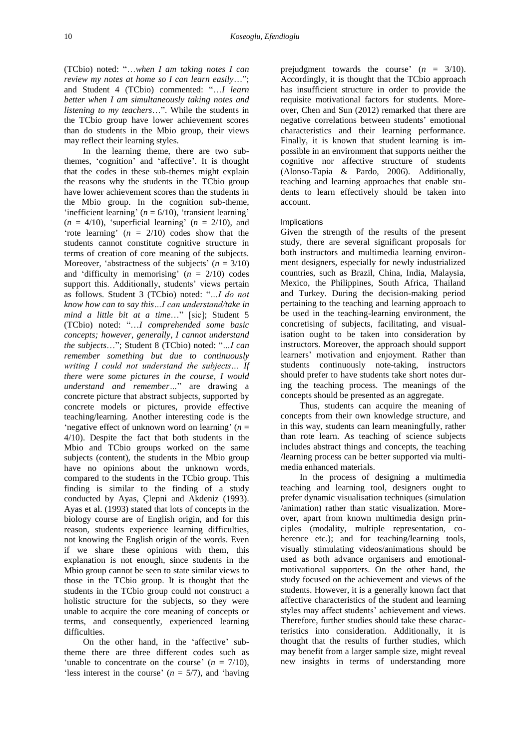(TCbio) noted: "…*when I am taking notes I can review my notes at home so I can learn easily*…"; and Student 4 (TCbio) commented: "…*I learn better when I am simultaneously taking notes and listening to my teachers*…". While the students in the TCbio group have lower achievement scores than do students in the Mbio group, their views may reflect their learning styles.

In the learning theme, there are two subthemes, 'cognition' and 'affective'. It is thought that the codes in these sub-themes might explain the reasons why the students in the TCbio group have lower achievement scores than the students in the Mbio group. In the cognition sub-theme, 'inefficient learning'  $(n = 6/10)$ , 'transient learning'  $(n = 4/10)$ , 'superficial learning'  $(n = 2/10)$ , and 'rote learning' (*n* = 2/10) codes show that the students cannot constitute cognitive structure in terms of creation of core meaning of the subjects. Moreover, 'abstractness of the subjects'  $(n = 3/10)$ and 'difficulty in memorising'  $(n = 2/10)$  codes support this. Additionally, students' views pertain as follows. Student 3 (TCbio) noted: "*…I do not know how can to say this…I can understand/take in mind a little bit at a time*…" [sic]; Student 5 (TCbio) noted: "…*I comprehended some basic concepts; however, generally, I cannot understand the subjects*…"; Student 8 (TCbio) noted: "*…I can remember something but due to continuously writing I could not understand the subjects… If there were some pictures in the course, I would understand and remember…*" are drawing a concrete picture that abstract subjects, supported by concrete models or pictures, provide effective teaching/learning. Another interesting code is the 'negative effect of unknown word on learning'  $(n =$ 4/10). Despite the fact that both students in the Mbio and TCbio groups worked on the same subjects (content), the students in the Mbio group have no opinions about the unknown words, compared to the students in the TCbio group. This finding is similar to the finding of a study conducted by Ayas, Çlepni and Akdeniz (1993). Ayas et al. (1993) stated that lots of concepts in the biology course are of English origin, and for this reason, students experience learning difficulties, not knowing the English origin of the words. Even if we share these opinions with them, this explanation is not enough, since students in the Mbio group cannot be seen to state similar views to those in the TCbio group. It is thought that the students in the TCbio group could not construct a holistic structure for the subjects, so they were unable to acquire the core meaning of concepts or terms, and consequently, experienced learning difficulties.

On the other hand, in the 'affective' subtheme there are three different codes such as 'unable to concentrate on the course'  $(n = 7/10)$ , 'less interest in the course'  $(n = 5/7)$ , and 'having'

prejudgment towards the course'  $(n = 3/10)$ . Accordingly, it is thought that the TCbio approach has insufficient structure in order to provide the requisite motivational factors for students. Moreover, Chen and Sun (2012) remarked that there are negative correlations between students' emotional characteristics and their learning performance. Finally, it is known that student learning is impossible in an environment that supports neither the cognitive nor affective structure of students (Alonso-Tapia & Pardo, 2006). Additionally, teaching and learning approaches that enable students to learn effectively should be taken into account.

# **Implications**

Given the strength of the results of the present study, there are several significant proposals for both instructors and multimedia learning environment designers, especially for newly industrialized countries, such as Brazil, China, India, Malaysia, Mexico, the Philippines, South Africa, Thailand and Turkey. During the decision-making period pertaining to the teaching and learning approach to be used in the teaching-learning environment, the concretising of subjects, facilitating, and visualisation ought to be taken into consideration by instructors. Moreover, the approach should support learners' motivation and enjoyment. Rather than students continuously note-taking, instructors should prefer to have students take short notes during the teaching process. The meanings of the concepts should be presented as an aggregate.

Thus, students can acquire the meaning of concepts from their own knowledge structure, and in this way, students can learn meaningfully, rather than rote learn. As teaching of science subjects includes abstract things and concepts, the teaching /learning process can be better supported via multimedia enhanced materials.

In the process of designing a multimedia teaching and learning tool, designers ought to prefer dynamic visualisation techniques (simulation /animation) rather than static visualization. Moreover, apart from known multimedia design principles (modality, multiple representation, coherence etc.); and for teaching/learning tools, visually stimulating videos/animations should be used as both advance organisers and emotionalmotivational supporters. On the other hand, the study focused on the achievement and views of the students. However, it is a generally known fact that affective characteristics of the student and learning styles may affect students' achievement and views. Therefore, further studies should take these characteristics into consideration. Additionally, it is thought that the results of further studies, which may benefit from a larger sample size, might reveal new insights in terms of understanding more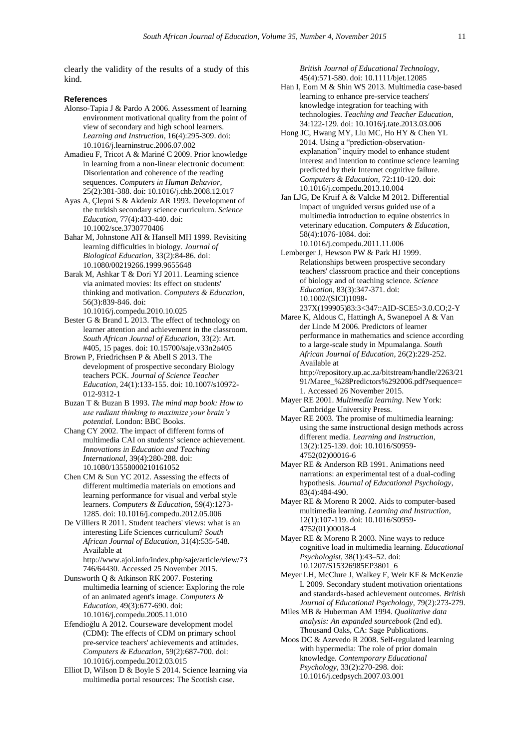clearly the validity of the results of a study of this kind.

#### **References**

- Alonso-Tapia J & Pardo A 2006. Assessment of learning environment motivational quality from the point of view of secondary and high school learners. *Learning and Instruction*, 16(4):295-309. [doi:](http://dx.doi.org/10.1016/j.learninstruc.2006.07.002)  [10.1016/j.learninstruc.2006.07.002](http://dx.doi.org/10.1016/j.learninstruc.2006.07.002)
- Amadieu F, Tricot A & Mariné C 2009. Prior knowledge in learning from a non-linear electronic document: Disorientation and coherence of the reading sequences. *Computers in Human Behavior*, 25(2):381-388. [doi: 10.1016/j.chb.2008.12.017](http://dx.doi.org/10.1016/j.chb.2008.12.017)
- Ayas A, Çlepni S & Akdeniz AR 1993. Development of the turkish secondary science curriculum. *Science Education*, 77(4):433-440. [doi:](http://onlinelibrary.wiley.com/doi/10.1002/sce.3730770406/abstract;jsessionid=ED30F494B96BD691E82183F219F84510.f02t01)  [10.1002/sce.3730770406](http://onlinelibrary.wiley.com/doi/10.1002/sce.3730770406/abstract;jsessionid=ED30F494B96BD691E82183F219F84510.f02t01)
- Bahar M, Johnstone AH & Hansell MH 1999. Revisiting learning difficulties in biology. *Journal of Biological Education*, 33(2):84-86. [doi:](http://www.tandfonline.com/doi/abs/10.1080/00219266.1999.9655648)  [10.1080/00219266.1999.9655648](http://www.tandfonline.com/doi/abs/10.1080/00219266.1999.9655648)
- Barak M, Ashkar T & Dori YJ 2011. Learning science via animated movies: Its effect on students' thinking and motivation. *Computers & Education*, 56(3):839-846. [doi:](http://dx.doi.org/10.1016/j.compedu.2010.10.025)  [10.1016/j.compedu.2010.10.025](http://dx.doi.org/10.1016/j.compedu.2010.10.025)
- Bester G & Brand L 2013. The effect of technology on learner attention and achievement in the classroom. *South African Journal of Education*, 33(2): Art. #405, 15 pages. [doi: 10.15700/saje.v33n2a405](http://www.sajournalofeducation.co.za/index.php/saje/article/view/405/344)
- Brown P, Friedrichsen P & Abell S 2013. The development of prospective secondary Biology teachers PCK. *Journal of Science Teacher Education*, 24(1):133-155. [doi: 10.1007/s10972-](http://link.springer.com/article/10.1007%2Fs10972-012-9312-1) [012-9312-1](http://link.springer.com/article/10.1007%2Fs10972-012-9312-1)
- Buzan T & Buzan B 1993. *The mind map book: How to use radiant thinking to maximize your brain's potential*. London: BBC Books.
- Chang CY 2002. The impact of different forms of multimedia CAI on students' science achievement. *Innovations in Education and Teaching International*, 39(4):280-288. [doi:](http://www.tandfonline.com/doi/abs/10.1080/13558000210161052)  [10.1080/13558000210161052](http://www.tandfonline.com/doi/abs/10.1080/13558000210161052)
- Chen CM & Sun YC 2012. Assessing the effects of different multimedia materials on emotions and learning performance for visual and verbal style learners. *Computers & Education*, 59(4):1273- 1285. [doi: 10.1016/j.compedu.2012.05.006](http://dx.doi.org/10.1016/j.compedu.2012.05.006)
- De Villiers R 2011. Student teachers' views: what is an interesting Life Sciences curriculum? *South African Journal of Education*, 31(4):535-548. Available at [http://www.ajol.info/index.php/saje/article/view/73](http://www.ajol.info/index.php/saje/article/view/73746/64430)
	- [746/64430.](http://www.ajol.info/index.php/saje/article/view/73746/64430) Accessed 25 November 2015.
- Dunsworth Q & Atkinson RK 2007. Fostering multimedia learning of science: Exploring the role of an animated agent's image. *Computers & Education*, 49(3):677-690. [doi:](http://dx.doi.org/10.1016/j.compedu.2005.11.010)  [10.1016/j.compedu.2005.11.010](http://dx.doi.org/10.1016/j.compedu.2005.11.010)
- Efendioğlu A 2012. Courseware development model (CDM): The effects of CDM on primary school pre-service teachers' achievements and attitudes. *Computers & Education*, 59(2):687-700. [doi:](http://dx.doi.org/10.1016/j.compedu.2012.03.015)  [10.1016/j.compedu.2012.03.015](http://dx.doi.org/10.1016/j.compedu.2012.03.015)
- Elliot D, Wilson D & Boyle S 2014. Science learning via multimedia portal resources: The Scottish case.

*British Journal of Educational Technology*, 45(4):571-580. [doi: 10.1111/bjet.12085](http://onlinelibrary.wiley.com/doi/10.1111/bjet.12085/abstract)

- Han I, Eom M & Shin WS 2013. Multimedia case-based learning to enhance pre-service teachers' knowledge integration for teaching with technologies. *Teaching and Teacher Education*, 34:122-129. [doi: 10.1016/j.tate.2013.03.006](http://dx.doi.org/10.1016/j.tate.2013.03.006)
- Hong JC, Hwang MY, Liu MC, Ho HY & Chen YL 2014. Using a "prediction-observationexplanation" inquiry model to enhance student interest and intention to continue science learning predicted by their Internet cognitive failure. *Computers & Education*, 72:110-120. [doi:](http://dx.doi.org/10.1016/j.compedu.2013.10.004) [10.1016/j.compedu.2013.10.004](http://dx.doi.org/10.1016/j.compedu.2013.10.004)
- Jan LJG, De Kruif A & Valcke M 2012. Differential impact of unguided versus guided use of a multimedia introduction to equine obstetrics in veterinary education. *Computers & Education*, 58(4):1076-1084. [doi:](http://dx.doi.org/10.1016/j.compedu.2011.11.006)  [10.1016/j.compedu.2011.11.006](http://dx.doi.org/10.1016/j.compedu.2011.11.006)
- Lemberger J, Hewson PW & Park HJ 1999. Relationships between prospective secondary teachers' classroom practice and their conceptions of biology and of teaching science. *Science Education*, 83(3):347-371. [doi:](http://onlinelibrary.wiley.com/doi/10.1002/%28SICI%291098-237X%28199905%2983:3%3C347::AID-SCE5%3E3.0.CO;2-Y/abstract)  [10.1002/\(SICI\)1098-](http://onlinelibrary.wiley.com/doi/10.1002/%28SICI%291098-237X%28199905%2983:3%3C347::AID-SCE5%3E3.0.CO;2-Y/abstract) [237X\(199905\)83:3<347::AID-SCE5>3.0.CO;2-Y](http://onlinelibrary.wiley.com/doi/10.1002/%28SICI%291098-237X%28199905%2983:3%3C347::AID-SCE5%3E3.0.CO;2-Y/abstract)
- Maree K, Aldous C, Hattingh A, Swanepoel A & Van der Linde M 2006. Predictors of learner performance in mathematics and science according to a large-scale study in Mpumalanga. *South African Journal of Education*, 26(2):229-252. Available at [http://repository.up.ac.za/bitstream/handle/2263/21](http://repository.up.ac.za/bitstream/handle/2263/2191/Maree_%28Predictors%292006.pdf?sequence=1)
	- [91/Maree\\_%28Predictors%292006.pdf?sequence=](http://repository.up.ac.za/bitstream/handle/2263/2191/Maree_%28Predictors%292006.pdf?sequence=1) [1.](http://repository.up.ac.za/bitstream/handle/2263/2191/Maree_%28Predictors%292006.pdf?sequence=1) Accessed 26 November 2015.
- Mayer RE 2001. *Multimedia learning*. New York: Cambridge University Press.
- Mayer RE 2003. The promise of multimedia learning: using the same instructional design methods across different media. *Learning and Instruction*, 13(2):125-139. [doi: 10.1016/S0959-](http://dx.doi.org/10.1016/S0959-4752%2802%2900016-6) [4752\(02\)00016-6](http://dx.doi.org/10.1016/S0959-4752%2802%2900016-6)
- Mayer RE & Anderson RB 1991. Animations need narrations: an experimental test of a dual-coding hypothesis. *Journal of Educational Psychology*, 83(4):484-490.
- Mayer RE & Moreno R 2002. Aids to computer-based multimedia learning. *Learning and Instruction*, 12(1):107-119. [doi: 10.1016/S0959-](http://dx.doi.org/10.1016/S0959-4752%2801%2900018-4) [4752\(01\)00018-4](http://dx.doi.org/10.1016/S0959-4752%2801%2900018-4)
- Mayer RE & Moreno R 2003. Nine ways to reduce cognitive load in multimedia learning. *Educational Psychologist*, 38(1):43–52. [doi:](http://www.tandfonline.com/doi/abs/10.1207/S15326985EP3801_6)  [10.1207/S15326985EP3801\\_6](http://www.tandfonline.com/doi/abs/10.1207/S15326985EP3801_6)
- Meyer LH, McClure J, Walkey F, Weir KF & McKenzie L 2009. Secondary student motivation orientations and standards-based achievement outcomes. *British Journal of Educational Psychology*, 79(2):273-279.
- Miles MB & Huberman AM 1994. *Qualitative data analysis: An expanded sourcebook* (2nd ed). Thousand Oaks, CA: Sage Publications.
- Moos DC & Azevedo R 2008. Self-regulated learning with hypermedia: The role of prior domain knowledge. *Contemporary Educational Psychology*, 33(2):270-298. [doi:](http://dx.doi.org/10.1016/j.cedpsych.2007.03.001)  [10.1016/j.cedpsych.2007.03.001](http://dx.doi.org/10.1016/j.cedpsych.2007.03.001)